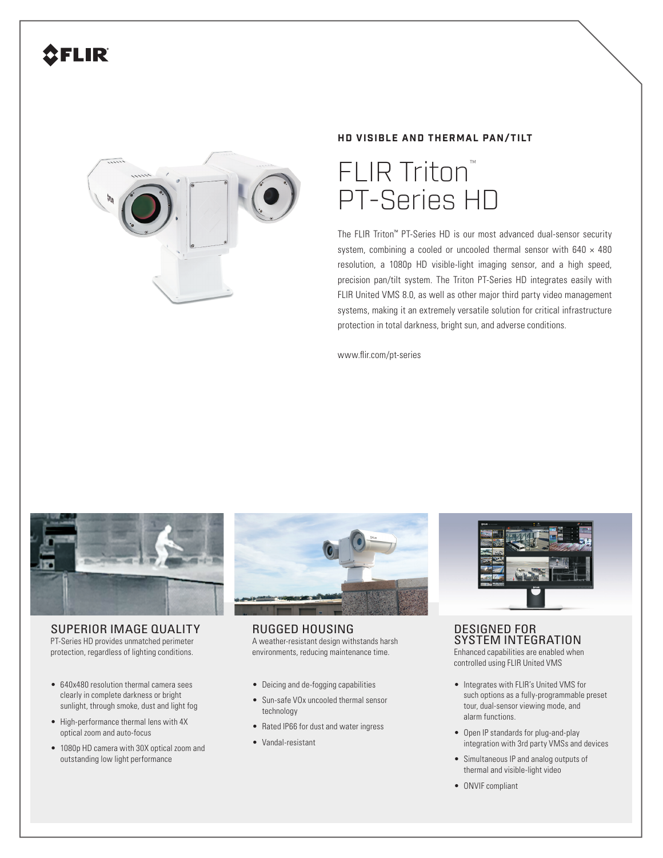# FLIR



### **HD VISIBLE AND THERMAL PAN/TILT**



The FLIR Triton™ PT-Series HD is our most advanced dual-sensor security system, combining a cooled or uncooled thermal sensor with  $640 \times 480$ resolution, a 1080p HD visible-light imaging sensor, and a high speed, precision pan/tilt system. The Triton PT-Series HD integrates easily with FLIR United VMS 8.0, as well as other major third party video management systems, making it an extremely versatile solution for critical infrastructure protection in total darkness, bright sun, and adverse conditions.

www.flir.com/pt-series



SUPERIOR IMAGE QUALITY PT-Series HD provides unmatched perimeter protection, regardless of lighting conditions.

- 640x480 resolution thermal camera sees clearly in complete darkness or bright sunlight, through smoke, dust and light fog
- High-performance thermal lens with 4X optical zoom and auto-focus
- 1080p HD camera with 30X optical zoom and outstanding low light performance



RUGGED HOUSING A weather-resistant design withstands harsh environments, reducing maintenance time.

- Deicing and de-fogging capabilities
- Sun-safe VOx uncooled thermal sensor technology
- Rated IP66 for dust and water ingress
- Vandal-resistant



DESIGNED FOR SYSTEM INTEGRATION Enhanced capabilities are enabled when controlled using FLIR United VMS

- Integrates with FLIR's United VMS for such options as a fully-programmable preset tour, dual-sensor viewing mode, and alarm functions.
- Open IP standards for plug-and-play integration with 3rd party VMSs and devices
- Simultaneous IP and analog outputs of thermal and visible-light video
- ONVIF compliant